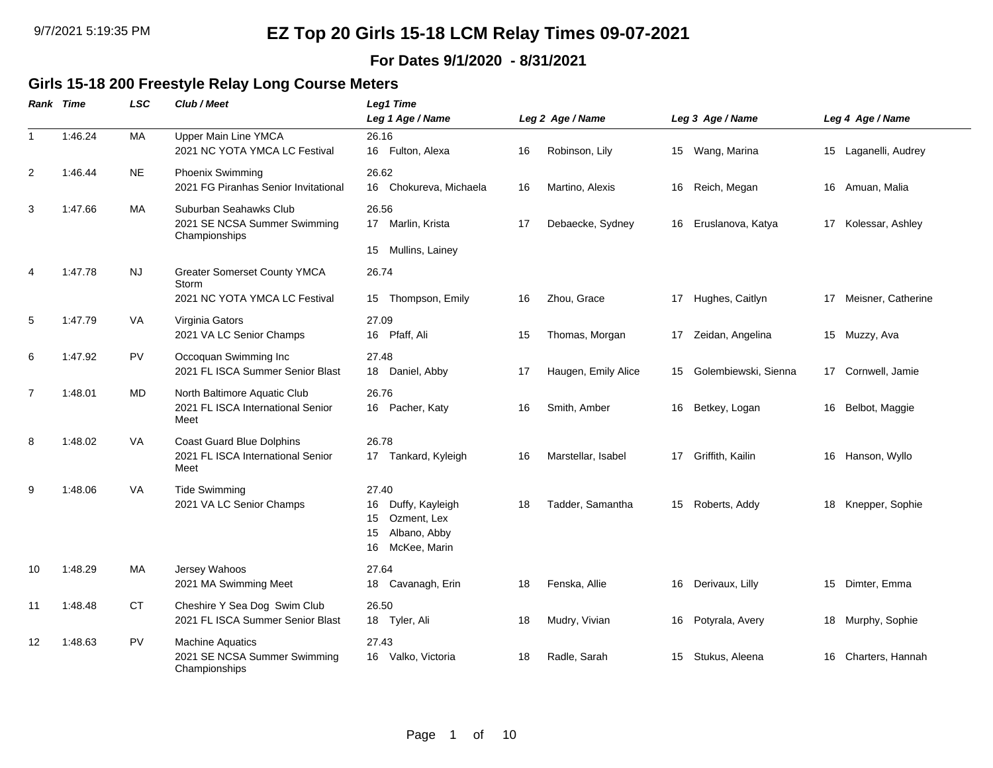### **For Dates 9/1/2020 - 8/31/2021**

### **Girls 15-18 200 Freestyle Relay Long Course Meters**

|                | <b>Rank Time</b> | <b>LSC</b> | Club / Meet                                                                   | Leg1 Time<br>Leg 1 Age / Name                                                                   |    | Leg 2 Age / Name    |    | Leg 3 Age / Name     |    | Leg 4 Age / Name     |
|----------------|------------------|------------|-------------------------------------------------------------------------------|-------------------------------------------------------------------------------------------------|----|---------------------|----|----------------------|----|----------------------|
| $\mathbf{1}$   | 1:46.24          | MA         | <b>Upper Main Line YMCA</b><br>2021 NC YOTA YMCA LC Festival                  | 26.16<br>16 Fulton, Alexa                                                                       | 16 | Robinson, Lily      |    | 15 Wang, Marina      |    | 15 Laganelli, Audrey |
| 2              | 1:46.44          | <b>NE</b>  | Phoenix Swimming<br>2021 FG Piranhas Senior Invitational                      | 26.62<br>16 Chokureva, Michaela                                                                 | 16 | Martino, Alexis     | 16 | Reich, Megan         |    | 16 Amuan, Malia      |
| 3              | 1:47.66          | MA         | Suburban Seahawks Club<br>2021 SE NCSA Summer Swimming<br>Championships       | 26.56<br>17 Marlin, Krista<br>15 Mullins, Lainey                                                | 17 | Debaecke, Sydney    | 16 | Eruslanova, Katya    | 17 | Kolessar, Ashley     |
| 4              | 1:47.78          | <b>NJ</b>  | <b>Greater Somerset County YMCA</b><br>Storm<br>2021 NC YOTA YMCA LC Festival | 26.74<br>Thompson, Emily<br>15                                                                  | 16 | Zhou, Grace         | 17 | Hughes, Caitlyn      | 17 | Meisner, Catherine   |
| 5              | 1:47.79          | <b>VA</b>  | Virginia Gators<br>2021 VA LC Senior Champs                                   | 27.09<br>16 Pfaff, Ali                                                                          | 15 | Thomas, Morgan      |    | 17 Zeidan, Angelina  |    | 15 Muzzy, Ava        |
| 6              | 1:47.92          | <b>PV</b>  | Occoquan Swimming Inc<br>2021 FL ISCA Summer Senior Blast                     | 27.48<br>18 Daniel, Abby                                                                        | 17 | Haugen, Emily Alice | 15 | Golembiewski, Sienna |    | 17 Cornwell, Jamie   |
| $\overline{7}$ | 1:48.01          | MD         | North Baltimore Aquatic Club<br>2021 FL ISCA International Senior<br>Meet     | 26.76<br>16 Pacher, Katy                                                                        | 16 | Smith, Amber        | 16 | Betkey, Logan        | 16 | Belbot, Maggie       |
| 8              | 1:48.02          | VA.        | <b>Coast Guard Blue Dolphins</b><br>2021 FL ISCA International Senior<br>Meet | 26.78<br>Tankard, Kyleigh<br>17                                                                 | 16 | Marstellar, Isabel  | 17 | Griffith, Kailin     |    | 16 Hanson, Wyllo     |
| 9              | 1:48.06          | VA         | <b>Tide Swimming</b><br>2021 VA LC Senior Champs                              | 27.40<br>Duffy, Kayleigh<br>16<br>Ozment, Lex<br>15<br>Albano, Abby<br>15<br>McKee, Marin<br>16 | 18 | Tadder, Samantha    | 15 | Roberts, Addy        | 18 | Knepper, Sophie      |
| 10             | 1:48.29          | МA         | Jersey Wahoos<br>2021 MA Swimming Meet                                        | 27.64<br>Cavanagh, Erin<br>18                                                                   | 18 | Fenska, Allie       | 16 | Derivaux, Lilly      | 15 | Dimter, Emma         |
| 11             | 1:48.48          | <b>CT</b>  | Cheshire Y Sea Dog Swim Club<br>2021 FL ISCA Summer Senior Blast              | 26.50<br>18 Tyler, Ali                                                                          | 18 | Mudry, Vivian       | 16 | Potyrala, Avery      |    | 18 Murphy, Sophie    |
| 12             | 1:48.63          | <b>PV</b>  | <b>Machine Aquatics</b><br>2021 SE NCSA Summer Swimming<br>Championships      | 27.43<br>Valko, Victoria<br>16                                                                  | 18 | Radle, Sarah        | 15 | Stukus, Aleena       | 16 | Charters, Hannah     |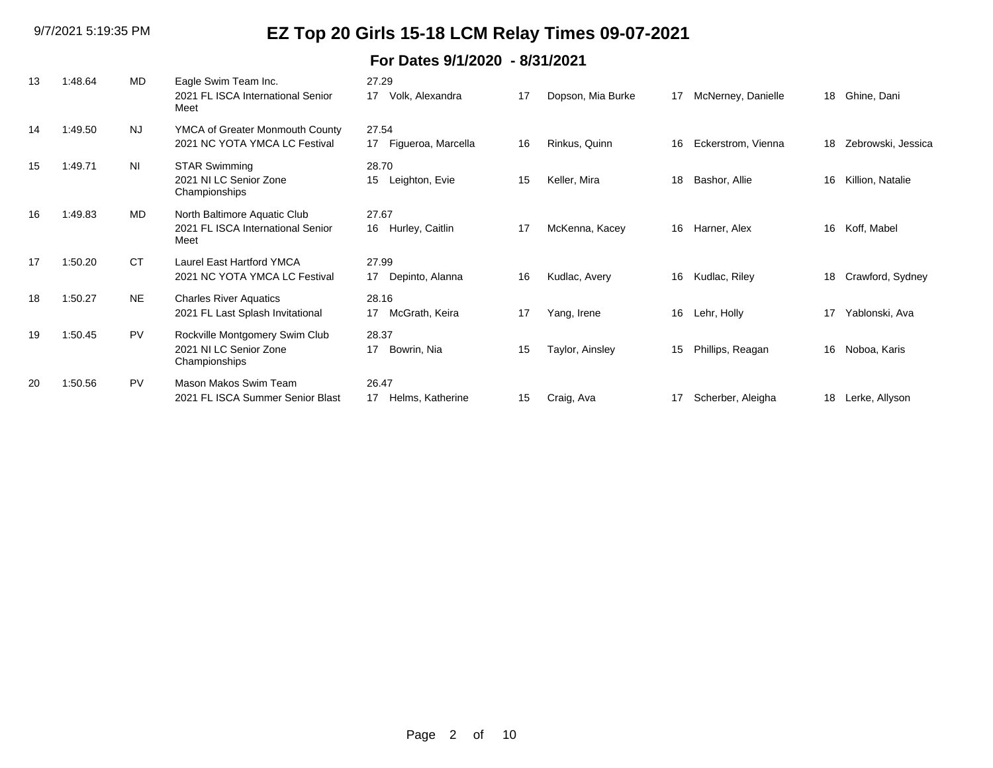| 13 | 1:48.64 | <b>MD</b> | Eagle Swim Team Inc.<br>2021 FL ISCA International Senior | 27.29<br>Volk, Alexandra<br>17 | 17 | Dopson, Mia Burke | 17 | McNerney, Danielle | 18 | Ghine, Dani        |
|----|---------|-----------|-----------------------------------------------------------|--------------------------------|----|-------------------|----|--------------------|----|--------------------|
|    |         |           | Meet                                                      |                                |    |                   |    |                    |    |                    |
| 14 | 1:49.50 | <b>NJ</b> | YMCA of Greater Monmouth County                           | 27.54                          |    |                   |    |                    |    |                    |
|    |         |           | 2021 NC YOTA YMCA LC Festival                             | 17 Figueroa, Marcella          | 16 | Rinkus, Quinn     | 16 | Eckerstrom, Vienna | 18 | Zebrowski, Jessica |
| 15 | 1:49.71 | <b>NI</b> | <b>STAR Swimming</b>                                      | 28.70                          |    |                   |    |                    |    |                    |
|    |         |           | 2021 NI LC Senior Zone<br>Championships                   | 15<br>Leighton, Evie           | 15 | Keller, Mira      | 18 | Bashor, Allie      | 16 | Killion, Natalie   |
| 16 | 1:49.83 | MD        | North Baltimore Aquatic Club                              | 27.67                          |    |                   |    |                    |    |                    |
|    |         |           | 2021 FL ISCA International Senior<br>Meet                 | Hurley, Caitlin<br>16          | 17 | McKenna, Kacey    | 16 | Harner, Alex       | 16 | Koff, Mabel        |
| 17 | 1:50.20 | <b>CT</b> | Laurel East Hartford YMCA                                 | 27.99                          |    |                   |    |                    |    |                    |
|    |         |           | 2021 NC YOTA YMCA LC Festival                             | Depinto, Alanna<br>17          | 16 | Kudlac, Avery     | 16 | Kudlac, Riley      | 18 | Crawford, Sydney   |
| 18 | 1:50.27 | <b>NE</b> | <b>Charles River Aquatics</b>                             | 28.16                          |    |                   |    |                    |    |                    |
|    |         |           | 2021 FL Last Splash Invitational                          | McGrath, Keira<br>17           | 17 | Yang, Irene       | 16 | Lehr, Holly        | 17 | Yablonski, Ava     |
| 19 | 1:50.45 | <b>PV</b> | Rockville Montgomery Swim Club                            | 28.37                          |    |                   |    |                    |    |                    |
|    |         |           | 2021 NI LC Senior Zone<br>Championships                   | Bowrin, Nia<br>17              | 15 | Taylor, Ainsley   | 15 | Phillips, Reagan   | 16 | Noboa, Karis       |
| 20 | 1:50.56 | PV        | Mason Makos Swim Team                                     | 26.47                          |    |                   |    |                    |    |                    |
|    |         |           | 2021 FL ISCA Summer Senior Blast                          | Helms, Katherine<br>17         | 15 | Craig, Ava        | 17 | Scherber, Aleigha  | 18 | Lerke, Allyson     |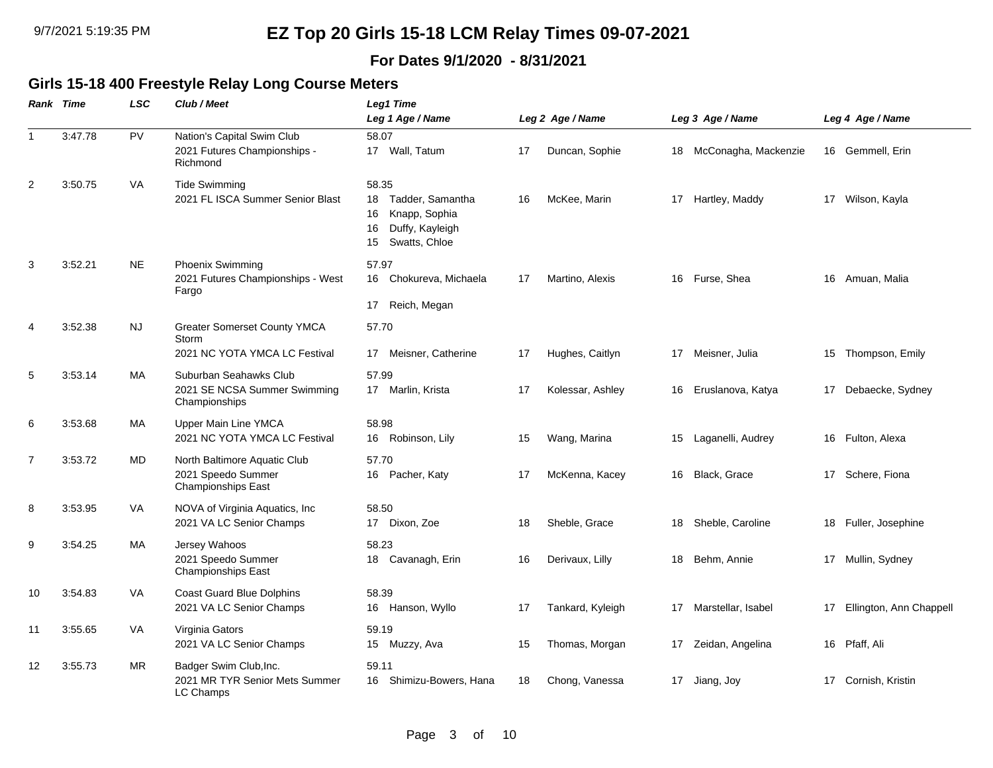### **For Dates 9/1/2020 - 8/31/2021**

### **Girls 15-18 400 Freestyle Relay Long Course Meters**

|                | <b>Rank Time</b> | <b>LSC</b> | Club / Meet                                                                     | Leg1 Time                                                                                              |    |                  |    |                         |    |                            |
|----------------|------------------|------------|---------------------------------------------------------------------------------|--------------------------------------------------------------------------------------------------------|----|------------------|----|-------------------------|----|----------------------------|
|                |                  |            |                                                                                 | Leg 1 Age / Name                                                                                       |    | Leg 2 Age / Name |    | Leg 3 Age / Name        |    | Leg 4 Age / Name           |
| $\overline{1}$ | 3:47.78          | PV         | Nation's Capital Swim Club<br>2021 Futures Championships -<br>Richmond          | 58.07<br>17 Wall, Tatum                                                                                | 17 | Duncan, Sophie   |    | 18 McConagha, Mackenzie |    | 16 Gemmell, Erin           |
| $\overline{2}$ | 3:50.75          | VA         | <b>Tide Swimming</b><br>2021 FL ISCA Summer Senior Blast                        | 58.35<br>Tadder, Samantha<br>18<br>Knapp, Sophia<br>16<br>Duffy, Kayleigh<br>16<br>Swatts, Chloe<br>15 | 16 | McKee, Marin     |    | 17 Hartley, Maddy       |    | 17 Wilson, Kayla           |
| 3              | 3:52.21          | <b>NE</b>  | Phoenix Swimming<br>2021 Futures Championships - West<br>Fargo                  | 57.97<br>16<br>Chokureva, Michaela<br>Reich, Megan<br>17                                               | 17 | Martino, Alexis  |    | 16 Furse, Shea          | 16 | Amuan, Malia               |
| $\overline{4}$ | 3:52.38          | NJ.        | <b>Greater Somerset County YMCA</b><br>Storm<br>2021 NC YOTA YMCA LC Festival   | 57.70<br>Meisner, Catherine<br>17                                                                      | 17 | Hughes, Caitlyn  |    | 17 Meisner, Julia       | 15 | Thompson, Emily            |
| 5              | 3:53.14          | МA         | Suburban Seahawks Club<br>2021 SE NCSA Summer Swimming<br>Championships         | 57.99<br>17 Marlin, Krista                                                                             | 17 | Kolessar, Ashley | 16 | Eruslanova, Katya       |    | 17 Debaecke, Sydney        |
| 6              | 3:53.68          | МA         | Upper Main Line YMCA<br>2021 NC YOTA YMCA LC Festival                           | 58.98<br>Robinson, Lily<br>16                                                                          | 15 | Wang, Marina     | 15 | Laganelli, Audrey       |    | 16 Fulton, Alexa           |
| 7              | 3:53.72          | MD         | North Baltimore Aquatic Club<br>2021 Speedo Summer<br><b>Championships East</b> | 57.70<br>16 Pacher, Katy                                                                               | 17 | McKenna, Kacey   |    | 16 Black, Grace         |    | 17 Schere, Fiona           |
| 8              | 3:53.95          | VA         | NOVA of Virginia Aquatics, Inc<br>2021 VA LC Senior Champs                      | 58.50<br>17 Dixon, Zoe                                                                                 | 18 | Sheble, Grace    | 18 | Sheble, Caroline        |    | 18 Fuller, Josephine       |
| 9              | 3:54.25          | МA         | Jersey Wahoos<br>2021 Speedo Summer<br><b>Championships East</b>                | 58.23<br>18 Cavanagh, Erin                                                                             | 16 | Derivaux, Lilly  |    | 18 Behm, Annie          |    | 17 Mullin, Sydney          |
| 10             | 3:54.83          | VA         | <b>Coast Guard Blue Dolphins</b><br>2021 VA LC Senior Champs                    | 58.39<br>Hanson, Wyllo<br>16                                                                           | 17 | Tankard, Kyleigh |    | 17 Marstellar, Isabel   |    | 17 Ellington, Ann Chappell |
| 11             | 3:55.65          | VA         | Virginia Gators<br>2021 VA LC Senior Champs                                     | 59.19<br>15 Muzzy, Ava                                                                                 | 15 | Thomas, Morgan   |    | 17 Zeidan, Angelina     | 16 | Pfaff, Ali                 |
| 12             | 3:55.73          | <b>MR</b>  | Badger Swim Club, Inc.<br>2021 MR TYR Senior Mets Summer<br>LC Champs           | 59.11<br>Shimizu-Bowers, Hana<br>16                                                                    | 18 | Chong, Vanessa   |    | 17 Jiang, Joy           |    | 17 Cornish, Kristin        |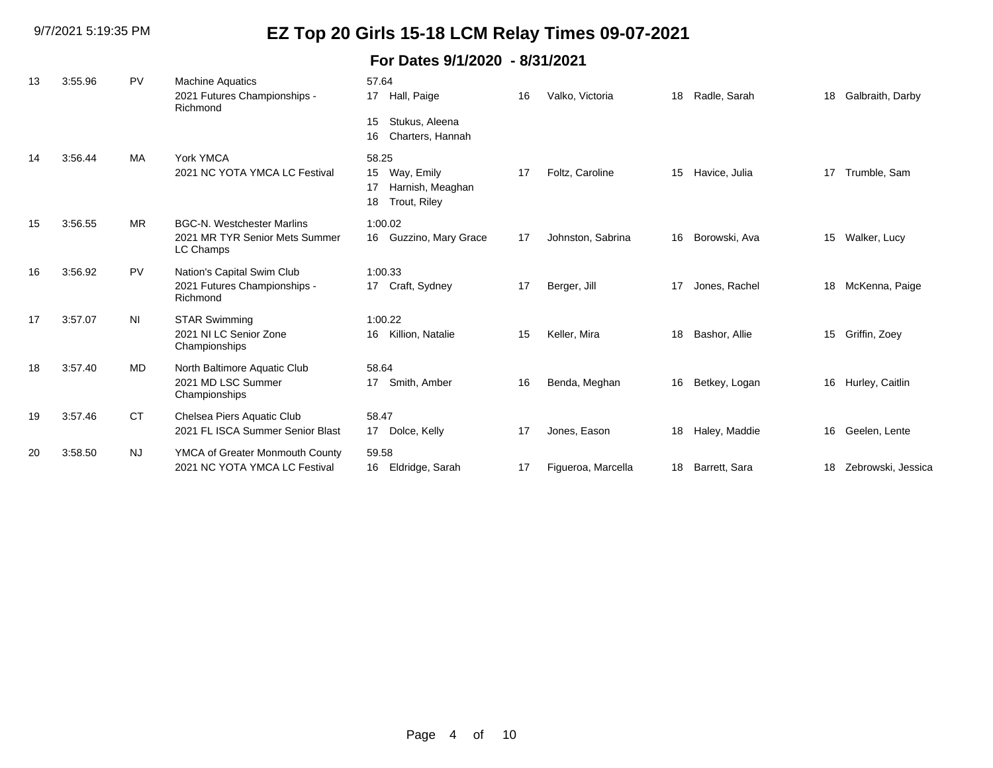9/7/2021 5:19:35 PM

# **EZ Top 20 Girls 15-18 LCM Relay Times 09-07-2021**

| 13 | 3:55.96 | PV        | <b>Machine Aquatics</b><br>2021 Futures Championships -<br>Richmond              | 57.64<br>17<br>Hall, Paige                                                | 16 | Valko, Victoria    | 18 | Radle, Sarah  | 18 | Galbraith, Darby   |
|----|---------|-----------|----------------------------------------------------------------------------------|---------------------------------------------------------------------------|----|--------------------|----|---------------|----|--------------------|
|    |         |           |                                                                                  | Stukus, Aleena<br>15<br>Charters, Hannah<br>16                            |    |                    |    |               |    |                    |
| 14 | 3:56.44 | <b>MA</b> | York YMCA<br>2021 NC YOTA YMCA LC Festival                                       | 58.25<br>Way, Emily<br>15<br>Harnish, Meaghan<br>17<br>Trout, Riley<br>18 | 17 | Foltz, Caroline    | 15 | Havice, Julia | 17 | Trumble, Sam       |
| 15 | 3:56.55 | <b>MR</b> | <b>BGC-N. Westchester Marlins</b><br>2021 MR TYR Senior Mets Summer<br>LC Champs | 1:00.02<br>16 Guzzino, Mary Grace                                         | 17 | Johnston, Sabrina  | 16 | Borowski, Ava | 15 | Walker, Lucy       |
| 16 | 3:56.92 | <b>PV</b> | Nation's Capital Swim Club<br>2021 Futures Championships -<br>Richmond           | 1:00.33<br>17 Craft, Sydney                                               | 17 | Berger, Jill       | 17 | Jones, Rachel | 18 | McKenna, Paige     |
| 17 | 3:57.07 | NI        | STAR Swimming<br>2021 NI LC Senior Zone<br>Championships                         | 1:00.22<br>Killion, Natalie<br>16                                         | 15 | Keller, Mira       | 18 | Bashor, Allie | 15 | Griffin, Zoey      |
| 18 | 3:57.40 | <b>MD</b> | North Baltimore Aquatic Club<br>2021 MD LSC Summer<br>Championships              | 58.64<br>Smith, Amber<br>17                                               | 16 | Benda, Meghan      | 16 | Betkey, Logan |    | 16 Hurley, Caitlin |
| 19 | 3:57.46 | <b>CT</b> | Chelsea Piers Aquatic Club<br>2021 FL ISCA Summer Senior Blast                   | 58.47<br>Dolce, Kelly<br>17                                               | 17 | Jones, Eason       | 18 | Haley, Maddie | 16 | Geelen, Lente      |
| 20 | 3:58.50 | <b>NJ</b> | YMCA of Greater Monmouth County<br>2021 NC YOTA YMCA LC Festival                 | 59.58<br>16<br>Eldridge, Sarah                                            | 17 | Figueroa, Marcella | 18 | Barrett, Sara | 18 | Zebrowski, Jessica |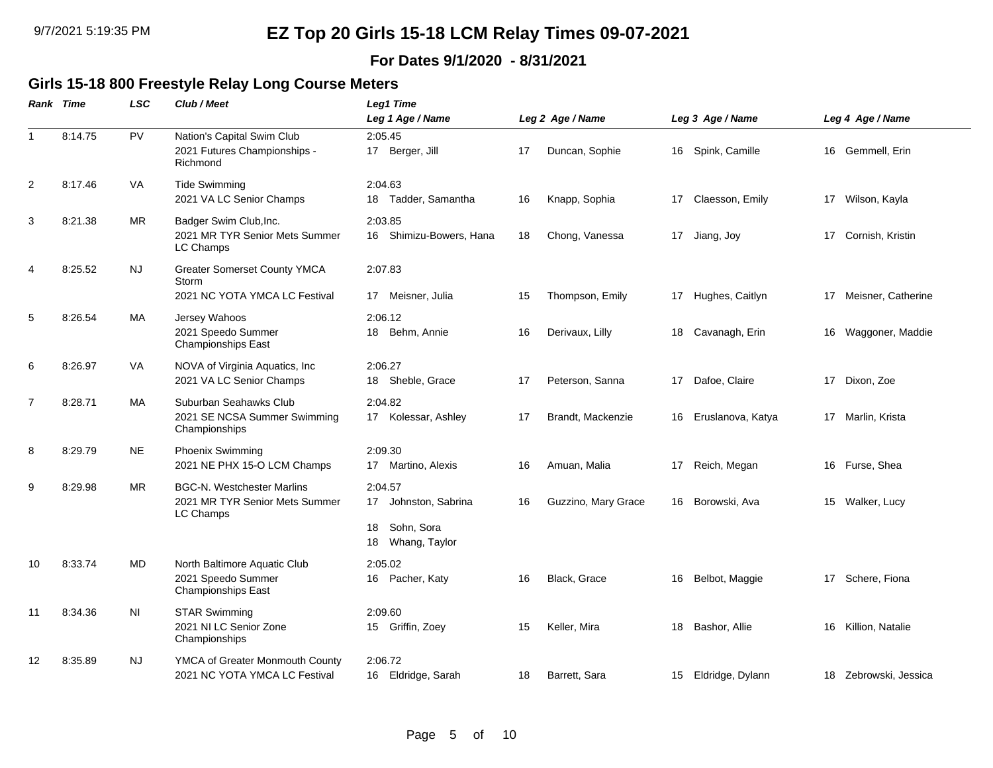### **For Dates 9/1/2020 - 8/31/2021**

### **Girls 15-18 800 Freestyle Relay Long Course Meters**

|                | Rank Time | LSC       | Club / Meet                                                                      | <b>Leg1 Time</b>                                                           |    |                     |    |                    |    |                       |  |
|----------------|-----------|-----------|----------------------------------------------------------------------------------|----------------------------------------------------------------------------|----|---------------------|----|--------------------|----|-----------------------|--|
|                |           |           |                                                                                  | Leg 1 Age / Name                                                           |    | Leg 2 Age / Name    |    | Leg 3 Age / Name   |    | Leg 4 Age / Name      |  |
| $\overline{1}$ | 8:14.75   | PV        | Nation's Capital Swim Club<br>2021 Futures Championships -<br>Richmond           | 2:05.45<br>17 Berger, Jill                                                 | 17 | Duncan, Sophie      |    | 16 Spink, Camille  |    | 16 Gemmell, Erin      |  |
| $\overline{c}$ | 8:17.46   | <b>VA</b> | <b>Tide Swimming</b><br>2021 VA LC Senior Champs                                 | 2:04.63<br>Tadder, Samantha<br>18                                          | 16 | Knapp, Sophia       | 17 | Claesson, Emily    | 17 | Wilson, Kayla         |  |
| 3              | 8:21.38   | MR.       | Badger Swim Club, Inc.<br>2021 MR TYR Senior Mets Summer<br>LC Champs            | 2:03.85<br>16 Shimizu-Bowers, Hana                                         | 18 | Chong, Vanessa      |    | 17 Jiang, Joy      |    | 17 Cornish, Kristin   |  |
| 4              | 8:25.52   | <b>NJ</b> | <b>Greater Somerset County YMCA</b><br>Storm<br>2021 NC YOTA YMCA LC Festival    | 2:07.83<br>17 Meisner, Julia                                               | 15 | Thompson, Emily     |    | 17 Hughes, Caitlyn | 17 | Meisner, Catherine    |  |
| 5              | 8:26.54   | MA        | Jersey Wahoos<br>2021 Speedo Summer<br>Championships East                        | 2:06.12<br>18 Behm, Annie                                                  | 16 | Derivaux, Lilly     | 18 | Cavanagh, Erin     | 16 | Waggoner, Maddie      |  |
| 6              | 8:26.97   | VA        | NOVA of Virginia Aquatics, Inc<br>2021 VA LC Senior Champs                       | 2:06.27<br>18 Sheble, Grace                                                | 17 | Peterson, Sanna     | 17 | Dafoe, Claire      | 17 | Dixon, Zoe            |  |
| 7              | 8:28.71   | MA        | Suburban Seahawks Club<br>2021 SE NCSA Summer Swimming<br>Championships          | 2:04.82<br>17 Kolessar, Ashley                                             | 17 | Brandt, Mackenzie   | 16 | Eruslanova, Katya  |    | 17 Marlin, Krista     |  |
| 8              | 8:29.79   | <b>NE</b> | <b>Phoenix Swimming</b><br>2021 NE PHX 15-O LCM Champs                           | 2:09.30<br>17 Martino, Alexis                                              | 16 | Amuan, Malia        | 17 | Reich, Megan       | 16 | Furse, Shea           |  |
| 9              | 8:29.98   | <b>MR</b> | <b>BGC-N. Westchester Marlins</b><br>2021 MR TYR Senior Mets Summer<br>LC Champs | 2:04.57<br>17 Johnston, Sabrina<br>Sohn, Sora<br>18<br>Whang, Taylor<br>18 | 16 | Guzzino, Mary Grace | 16 | Borowski, Ava      |    | 15 Walker, Lucy       |  |
| 10             | 8:33.74   | MD        | North Baltimore Aquatic Club<br>2021 Speedo Summer<br><b>Championships East</b>  | 2:05.02<br>16 Pacher, Katy                                                 | 16 | Black, Grace        | 16 | Belbot, Maggie     |    | 17 Schere, Fiona      |  |
| 11             | 8:34.36   | ΝI        | <b>STAR Swimming</b><br>2021 NI LC Senior Zone<br>Championships                  | 2:09.60<br>15 Griffin, Zoey                                                | 15 | Keller, Mira        | 18 | Bashor, Allie      | 16 | Killion, Natalie      |  |
| 12             | 8:35.89   | <b>NJ</b> | YMCA of Greater Monmouth County<br>2021 NC YOTA YMCA LC Festival                 | 2:06.72<br>16 Eldridge, Sarah                                              | 18 | Barrett, Sara       | 15 | Eldridge, Dylann   |    | 18 Zebrowski, Jessica |  |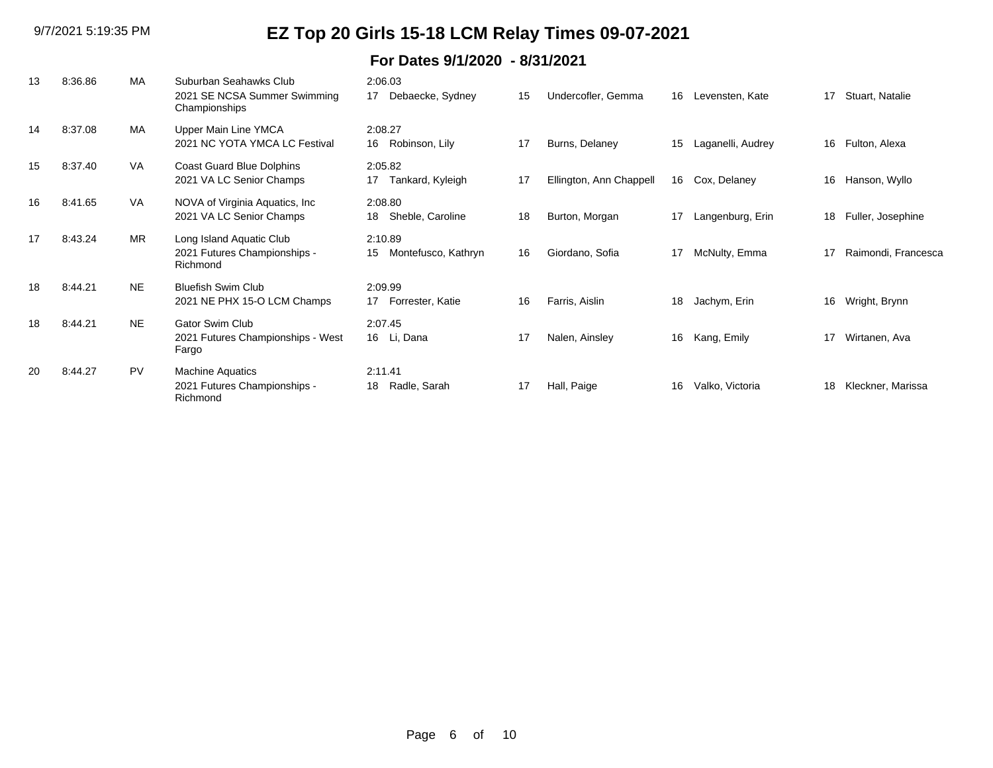| 13 | 8:36.86 | MA        | Suburban Seahawks Club<br>2021 SE NCSA Summer Swimming<br>Championships | 2:06.03<br>Debaecke, Sydney<br>17    | 15 | Undercofler, Gemma      | 16 | Levensten, Kate   | 17 | Stuart, Natalie     |
|----|---------|-----------|-------------------------------------------------------------------------|--------------------------------------|----|-------------------------|----|-------------------|----|---------------------|
| 14 | 8:37.08 | MA        | Upper Main Line YMCA<br>2021 NC YOTA YMCA LC Festival                   | 2:08.27<br>16 Robinson, Lily         | 17 | Burns, Delaney          | 15 | Laganelli, Audrey | 16 | Fulton, Alexa       |
| 15 | 8:37.40 | VA        | Coast Guard Blue Dolphins<br>2021 VA LC Senior Champs                   | 2:05.82<br>Tankard, Kyleigh<br>17    | 17 | Ellington, Ann Chappell | 16 | Cox, Delaney      | 16 | Hanson, Wyllo       |
| 16 | 8:41.65 | <b>VA</b> | NOVA of Virginia Aquatics, Inc.<br>2021 VA LC Senior Champs             | 2:08.80<br>Sheble, Caroline<br>18    | 18 | Burton, Morgan          | 17 | Langenburg, Erin  | 18 | Fuller, Josephine   |
| 17 | 8:43.24 | <b>MR</b> | Long Island Aquatic Club<br>2021 Futures Championships -<br>Richmond    | 2:10.89<br>Montefusco, Kathryn<br>15 | 16 | Giordano, Sofia         | 17 | McNulty, Emma     | 17 | Raimondi, Francesca |
| 18 | 8:44.21 | <b>NE</b> | <b>Bluefish Swim Club</b><br>2021 NE PHX 15-O LCM Champs                | 2:09.99<br>Forrester, Katie<br>17    | 16 | Farris, Aislin          | 18 | Jachym, Erin      | 16 | Wright, Brynn       |
| 18 | 8:44.21 | <b>NE</b> | <b>Gator Swim Club</b><br>2021 Futures Championships - West<br>Fargo    | 2:07.45<br>16 Li, Dana               | 17 | Nalen, Ainsley          | 16 | Kang, Emily       | 17 | Wirtanen, Ava       |
| 20 | 8:44.27 | <b>PV</b> | <b>Machine Aquatics</b><br>2021 Futures Championships -<br>Richmond     | 2:11.41<br>Radle, Sarah<br>18        | 17 | Hall, Paige             | 16 | Valko, Victoria   | 18 | Kleckner, Marissa   |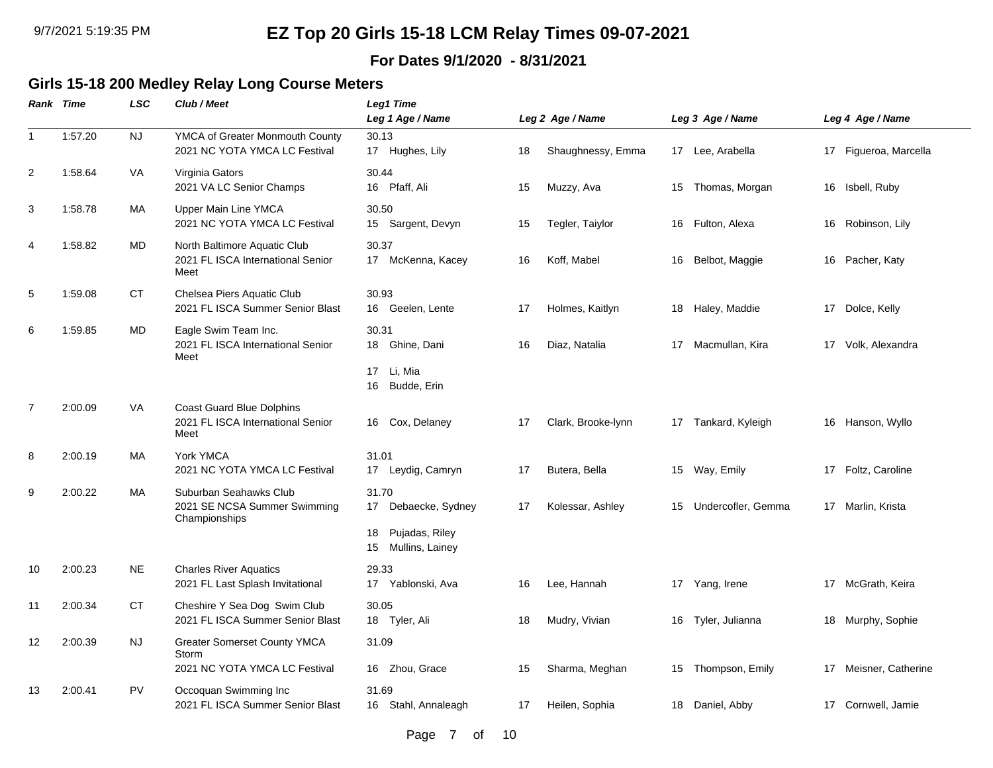### **For Dates 9/1/2020 - 8/31/2021**

#### **Girls 15-18 200 Medley Relay Long Course Meters**

|                | Rank Time | <b>LSC</b> | Club / Meet                                                                                | <b>Leg1 Time</b><br>Leg 1 Age / Name           |          | Leg 2 Age / Name                 |          | Leg 3 Age / Name                |    | Leg 4 Age / Name                            |
|----------------|-----------|------------|--------------------------------------------------------------------------------------------|------------------------------------------------|----------|----------------------------------|----------|---------------------------------|----|---------------------------------------------|
| $\mathbf{1}$   | 1:57.20   | <b>NJ</b>  | YMCA of Greater Monmouth County<br>2021 NC YOTA YMCA LC Festival                           | 30.13<br>17 Hughes, Lily                       | 18       | Shaughnessy, Emma                |          | 17 Lee, Arabella                |    | 17 Figueroa, Marcella                       |
| $\overline{2}$ | 1:58.64   | VA         | Virginia Gators<br>2021 VA LC Senior Champs                                                | 30.44<br>16 Pfaff, Ali                         | 15       | Muzzy, Ava                       | 15       | Thomas, Morgan                  |    | 16 Isbell, Ruby                             |
| 3              | 1:58.78   | MA         | Upper Main Line YMCA<br>2021 NC YOTA YMCA LC Festival                                      | 30.50<br>15 Sargent, Devyn                     | 15       | Tegler, Taiylor                  | 16       | Fulton, Alexa                   | 16 | Robinson, Lily                              |
| 4              | 1:58.82   | MD         | North Baltimore Aquatic Club<br>2021 FL ISCA International Senior<br>Meet                  | 30.37<br>17 McKenna, Kacey                     | 16       | Koff, Mabel                      | 16       | Belbot, Maggie                  |    | 16 Pacher, Katy                             |
| 5              | 1:59.08   | CT         | Chelsea Piers Aquatic Club<br>2021 FL ISCA Summer Senior Blast                             | 30.93<br>16 Geelen, Lente                      | 17       | Holmes, Kaitlyn                  |          | 18 Haley, Maddie                |    | 17 Dolce, Kelly                             |
| 6              | 1:59.85   | MD         | Eagle Swim Team Inc.<br>2021 FL ISCA International Senior<br>Meet                          | 30.31<br>18 Ghine, Dani                        | 16       | Diaz, Natalia                    |          | 17 Macmullan, Kira              |    | 17 Volk, Alexandra                          |
|                |           |            |                                                                                            | 17<br>Li, Mia<br>Budde, Erin<br>16             |          |                                  |          |                                 |    |                                             |
| $\overline{7}$ | 2:00.09   | VA         | <b>Coast Guard Blue Dolphins</b><br>2021 FL ISCA International Senior<br>Meet              | Cox, Delaney<br>16                             | 17       | Clark, Brooke-lynn               | 17       | Tankard, Kyleigh                | 16 | Hanson, Wyllo                               |
| 8              | 2:00.19   | MA         | York YMCA<br>2021 NC YOTA YMCA LC Festival                                                 | 31.01<br>Leydig, Camryn<br>17                  | 17       | Butera, Bella                    |          | 15 Way, Emily                   |    | 17 Foltz, Caroline                          |
| 9              | 2:00.22   | MA         | Suburban Seahawks Club<br>2021 SE NCSA Summer Swimming<br>Championships                    | 31.70<br>Debaecke, Sydney<br>17                | 17       | Kolessar, Ashley                 | 15       | Undercofler, Gemma              |    | 17 Marlin, Krista                           |
|                |           |            |                                                                                            | Pujadas, Riley<br>18<br>Mullins, Lainey<br>15  |          |                                  |          |                                 |    |                                             |
| 10             | 2:00.23   | <b>NE</b>  | <b>Charles River Aquatics</b><br>2021 FL Last Splash Invitational                          | 29.33<br>17 Yablonski, Ava                     | 16       | Lee, Hannah                      |          | 17 Yang, Irene                  |    | 17 McGrath, Keira                           |
| 11             | 2:00.34   | <b>CT</b>  | Cheshire Y Sea Dog Swim Club<br>2021 FL ISCA Summer Senior Blast                           | 30.05<br>18 Tyler, Ali                         | 18       | Mudry, Vivian                    | 16       | Tyler, Julianna                 |    | 18 Murphy, Sophie                           |
| 12             | 2:00.39   | <b>NJ</b>  | <b>Greater Somerset County YMCA</b><br>Storm                                               | 31.09                                          |          |                                  |          |                                 |    |                                             |
| 13             | 2:00.41   | <b>PV</b>  | 2021 NC YOTA YMCA LC Festival<br>Occoquan Swimming Inc<br>2021 FL ISCA Summer Senior Blast | 16 Zhou, Grace<br>31.69<br>16 Stahl, Annaleagh | 15<br>17 | Sharma, Meghan<br>Heilen, Sophia | 15<br>18 | Thompson, Emily<br>Daniel, Abby |    | 17 Meisner, Catherine<br>17 Cornwell, Jamie |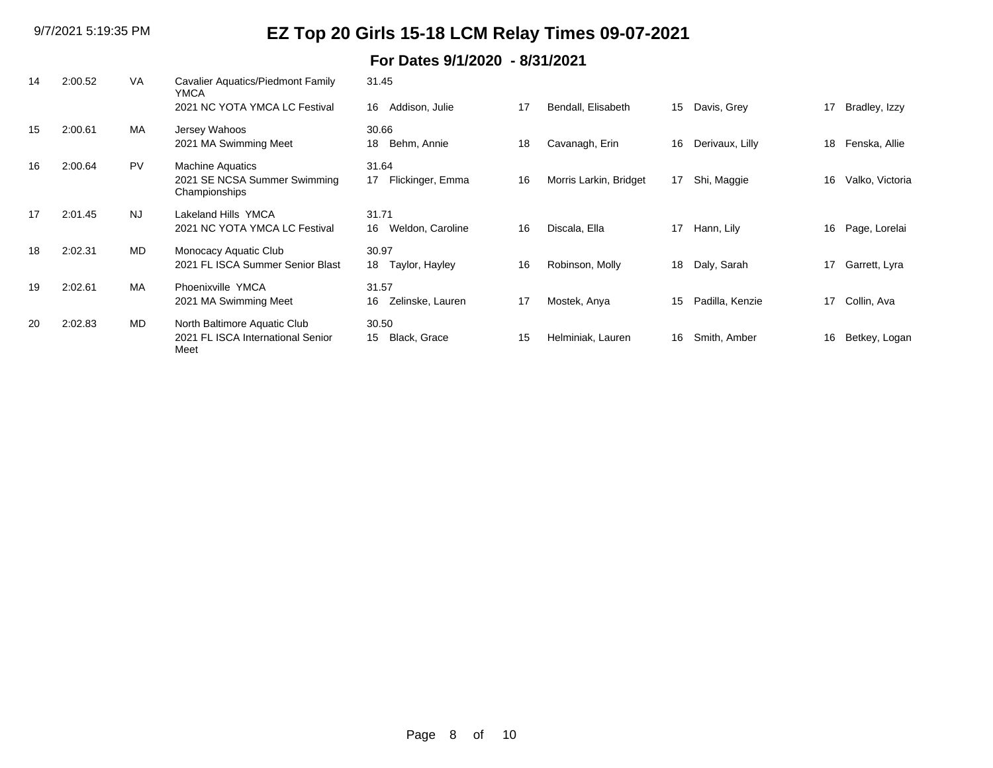| 14 | 2:00.52 | VA        | Cavalier Aquatics/Piedmont Family<br><b>YMCA</b>                          | 31.45                           |    |                        |    |                 |    |                 |
|----|---------|-----------|---------------------------------------------------------------------------|---------------------------------|----|------------------------|----|-----------------|----|-----------------|
|    |         |           | 2021 NC YOTA YMCA LC Festival                                             | Addison, Julie<br>16            | 17 | Bendall, Elisabeth     | 15 | Davis, Grey     | 17 | Bradley, Izzy   |
| 15 | 2:00.61 | MA        | Jersey Wahoos<br>2021 MA Swimming Meet                                    | 30.66<br>Behm, Annie<br>18      | 18 | Cavanagh, Erin         | 16 | Derivaux, Lilly | 18 | Fenska, Allie   |
| 16 | 2:00.64 | PV        | <b>Machine Aquatics</b><br>2021 SE NCSA Summer Swimming<br>Championships  | 31.64<br>Flickinger, Emma<br>17 | 16 | Morris Larkin, Bridget | 17 | Shi, Maggie     | 16 | Valko, Victoria |
| 17 | 2:01.45 | <b>NJ</b> | Lakeland Hills YMCA<br>2021 NC YOTA YMCA LC Festival                      | 31.71<br>Weldon, Caroline<br>16 | 16 | Discala, Ella          | 17 | Hann, Lily      | 16 | Page, Lorelai   |
| 18 | 2:02.31 | <b>MD</b> | Monocacy Aquatic Club<br>2021 FL ISCA Summer Senior Blast                 | 30.97<br>18<br>Taylor, Hayley   | 16 | Robinson, Molly        | 18 | Daly, Sarah     | 17 | Garrett, Lyra   |
| 19 | 2:02.61 | MA        | Phoenixville YMCA<br>2021 MA Swimming Meet                                | 31.57<br>Zelinske, Lauren<br>16 | 17 | Mostek, Anya           | 15 | Padilla, Kenzie | 17 | Collin, Ava     |
| 20 | 2:02.83 | <b>MD</b> | North Baltimore Aquatic Club<br>2021 FL ISCA International Senior<br>Meet | 30.50<br>Black, Grace<br>15     | 15 | Helminiak, Lauren      | 16 | Smith, Amber    | 16 | Betkey, Logan   |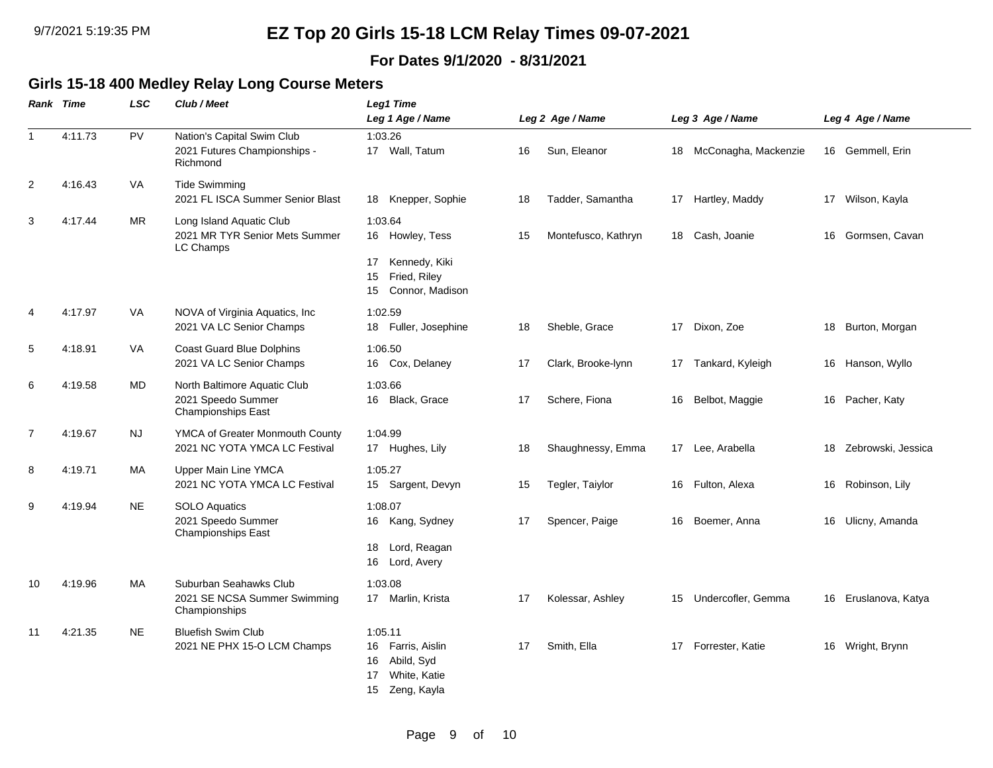### **For Dates 9/1/2020 - 8/31/2021**

### **Girls 15-18 400 Medley Relay Long Course Meters**

|                | <b>Rank Time</b> | <b>LSC</b> | Club / Meet                                                                     | Leg1 Time                                                                                      |    |                     |  |                         |    |                    |  |  |
|----------------|------------------|------------|---------------------------------------------------------------------------------|------------------------------------------------------------------------------------------------|----|---------------------|--|-------------------------|----|--------------------|--|--|
|                |                  |            |                                                                                 | Leg 1 Age / Name                                                                               |    | Leg 2 Age / Name    |  | Leg 3 Age / Name        |    | Leg 4 Age / Name   |  |  |
| $\overline{1}$ | 4:11.73          | PV         | Nation's Capital Swim Club<br>2021 Futures Championships -<br>Richmond          | 1:03.26<br>17 Wall, Tatum                                                                      | 16 | Sun, Eleanor        |  | 18 McConagha, Mackenzie |    | 16 Gemmell, Erin   |  |  |
| 2              | 4:16.43          | VA         | <b>Tide Swimming</b><br>2021 FL ISCA Summer Senior Blast                        | 18 Knepper, Sophie                                                                             | 18 | Tadder, Samantha    |  | 17 Hartley, Maddy       |    | 17 Wilson, Kayla   |  |  |
| 3              | 4:17.44          | <b>MR</b>  | Long Island Aquatic Club<br>2021 MR TYR Senior Mets Summer<br>LC Champs         | 1:03.64<br>16 Howley, Tess                                                                     | 15 | Montefusco, Kathryn |  | 18 Cash, Joanie         | 16 | Gormsen, Cavan     |  |  |
|                |                  |            |                                                                                 | Kennedy, Kiki<br>17<br>Fried, Riley<br>15<br>15<br>Connor, Madison                             |    |                     |  |                         |    |                    |  |  |
| $\overline{4}$ | 4:17.97          | <b>VA</b>  | NOVA of Virginia Aquatics, Inc.<br>2021 VA LC Senior Champs                     | 1:02.59<br>Fuller, Josephine<br>18                                                             | 18 | Sheble, Grace       |  | 17 Dixon, Zoe           | 18 | Burton, Morgan     |  |  |
| 5              | 4:18.91          | VA         | Coast Guard Blue Dolphins<br>2021 VA LC Senior Champs                           | 1:06.50<br>16 Cox, Delaney                                                                     | 17 | Clark, Brooke-lynn  |  | 17 Tankard, Kyleigh     |    | 16 Hanson, Wyllo   |  |  |
| 6              | 4:19.58          | MD         | North Baltimore Aquatic Club<br>2021 Speedo Summer<br><b>Championships East</b> | 1:03.66<br>Black, Grace<br>16                                                                  | 17 | Schere, Fiona       |  | 16 Belbot, Maggie       | 16 | Pacher, Katy       |  |  |
| 7              | 4:19.67          | NJ         | YMCA of Greater Monmouth County<br>2021 NC YOTA YMCA LC Festival                | 1:04.99<br>17 Hughes, Lily                                                                     | 18 | Shaughnessy, Emma   |  | 17 Lee, Arabella        | 18 | Zebrowski, Jessica |  |  |
| 8              | 4:19.71          | МA         | Upper Main Line YMCA<br>2021 NC YOTA YMCA LC Festival                           | 1:05.27<br>15 Sargent, Devyn                                                                   | 15 | Tegler, Taiylor     |  | 16 Fulton, Alexa        | 16 | Robinson, Lily     |  |  |
| 9              | 4:19.94          | <b>NE</b>  | <b>SOLO Aquatics</b><br>2021 Speedo Summer<br>Championships East                | 1:08.07<br>16 Kang, Sydney                                                                     | 17 | Spencer, Paige      |  | 16 Boemer, Anna         | 16 | Ulicny, Amanda     |  |  |
|                |                  |            |                                                                                 | Lord, Reagan<br>18<br>16<br>Lord, Avery                                                        |    |                     |  |                         |    |                    |  |  |
| 10             | 4:19.96          | МA         | Suburban Seahawks Club<br>2021 SE NCSA Summer Swimming<br>Championships         | 1:03.08<br>17 Marlin, Krista                                                                   | 17 | Kolessar, Ashley    |  | 15 Undercofler, Gemma   | 16 | Eruslanova, Katya  |  |  |
| 11             | 4:21.35          | <b>NE</b>  | <b>Bluefish Swim Club</b><br>2021 NE PHX 15-O LCM Champs                        | 1:05.11<br>Farris, Aislin<br>16<br>Abild, Syd<br>16<br>White, Katie<br>17<br>Zeng, Kayla<br>15 | 17 | Smith, Ella         |  | 17 Forrester, Katie     | 16 | Wright, Brynn      |  |  |